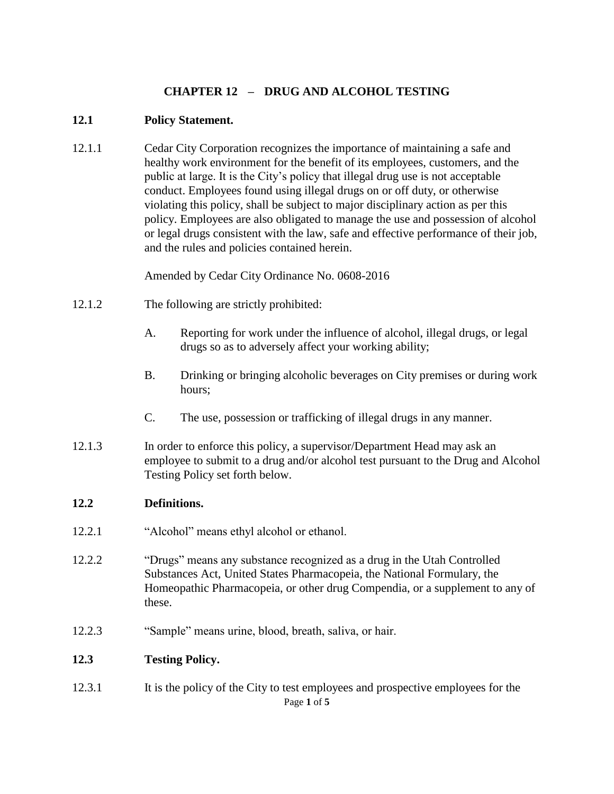# **CHAPTER 12 – DRUG AND ALCOHOL TESTING**

#### **12.1 Policy Statement.**

12.1.1 Cedar City Corporation recognizes the importance of maintaining a safe and healthy work environment for the benefit of its employees, customers, and the public at large. It is the City's policy that illegal drug use is not acceptable conduct. Employees found using illegal drugs on or off duty, or otherwise violating this policy, shall be subject to major disciplinary action as per this policy. Employees are also obligated to manage the use and possession of alcohol or legal drugs consistent with the law, safe and effective performance of their job, and the rules and policies contained herein.

Amended by Cedar City Ordinance No. 0608-2016

- 12.1.2 The following are strictly prohibited:
	- A. Reporting for work under the influence of alcohol, illegal drugs, or legal drugs so as to adversely affect your working ability;
	- B. Drinking or bringing alcoholic beverages on City premises or during work hours;
	- C. The use, possession or trafficking of illegal drugs in any manner.
- 12.1.3 In order to enforce this policy, a supervisor/Department Head may ask an employee to submit to a drug and/or alcohol test pursuant to the Drug and Alcohol Testing Policy set forth below.

### **12.2 Definitions.**

- 12.2.1 "Alcohol" means ethyl alcohol or ethanol.
- 12.2.2 "Drugs" means any substance recognized as a drug in the Utah Controlled Substances Act, United States Pharmacopeia, the National Formulary, the Homeopathic Pharmacopeia, or other drug Compendia, or a supplement to any of these.
- 12.2.3 "Sample" means urine, blood, breath, saliva, or hair.

### **12.3 Testing Policy.**

Page **1** of **5** 12.3.1 It is the policy of the City to test employees and prospective employees for the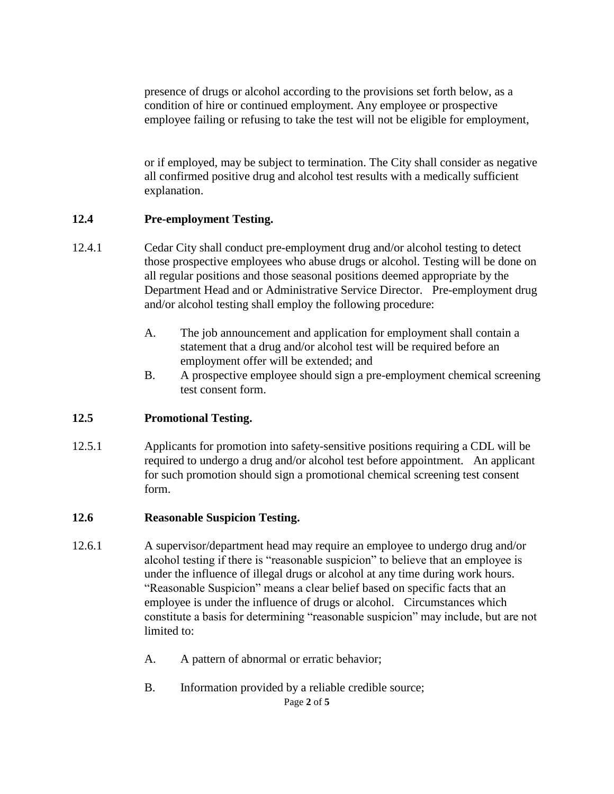presence of drugs or alcohol according to the provisions set forth below, as a condition of hire or continued employment. Any employee or prospective employee failing or refusing to take the test will not be eligible for employment,

or if employed, may be subject to termination. The City shall consider as negative all confirmed positive drug and alcohol test results with a medically sufficient explanation.

### **12.4 Pre-employment Testing.**

- 12.4.1 Cedar City shall conduct pre-employment drug and/or alcohol testing to detect those prospective employees who abuse drugs or alcohol. Testing will be done on all regular positions and those seasonal positions deemed appropriate by the Department Head and or Administrative Service Director. Pre-employment drug and/or alcohol testing shall employ the following procedure:
	- A. The job announcement and application for employment shall contain a statement that a drug and/or alcohol test will be required before an employment offer will be extended; and
	- B. A prospective employee should sign a pre-employment chemical screening test consent form.

### **12.5 Promotional Testing.**

12.5.1 Applicants for promotion into safety-sensitive positions requiring a CDL will be required to undergo a drug and/or alcohol test before appointment. An applicant for such promotion should sign a promotional chemical screening test consent form.

#### **12.6 Reasonable Suspicion Testing.**

- 12.6.1 A supervisor/department head may require an employee to undergo drug and/or alcohol testing if there is "reasonable suspicion" to believe that an employee is under the influence of illegal drugs or alcohol at any time during work hours. "Reasonable Suspicion" means a clear belief based on specific facts that an employee is under the influence of drugs or alcohol. Circumstances which constitute a basis for determining "reasonable suspicion" may include, but are not limited to:
	- A. A pattern of abnormal or erratic behavior;
	- B. Information provided by a reliable credible source;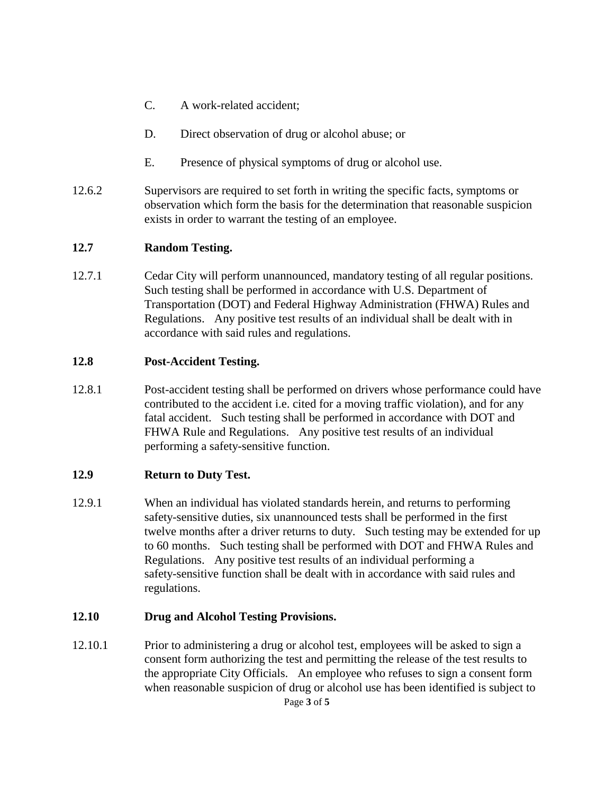- C. A work-related accident;
- D. Direct observation of drug or alcohol abuse; or
- E. Presence of physical symptoms of drug or alcohol use.
- 12.6.2 Supervisors are required to set forth in writing the specific facts, symptoms or observation which form the basis for the determination that reasonable suspicion exists in order to warrant the testing of an employee.

### **12.7 Random Testing.**

12.7.1 Cedar City will perform unannounced, mandatory testing of all regular positions. Such testing shall be performed in accordance with U.S. Department of Transportation (DOT) and Federal Highway Administration (FHWA) Rules and Regulations. Any positive test results of an individual shall be dealt with in accordance with said rules and regulations.

## **12.8 Post-Accident Testing.**

12.8.1 Post-accident testing shall be performed on drivers whose performance could have contributed to the accident i.e. cited for a moving traffic violation), and for any fatal accident. Such testing shall be performed in accordance with DOT and FHWA Rule and Regulations. Any positive test results of an individual performing a safety-sensitive function.

### **12.9 Return to Duty Test.**

12.9.1 When an individual has violated standards herein, and returns to performing safety-sensitive duties, six unannounced tests shall be performed in the first twelve months after a driver returns to duty. Such testing may be extended for up to 60 months. Such testing shall be performed with DOT and FHWA Rules and Regulations. Any positive test results of an individual performing a safety-sensitive function shall be dealt with in accordance with said rules and regulations.

### **12.10 Drug and Alcohol Testing Provisions.**

12.10.1 Prior to administering a drug or alcohol test, employees will be asked to sign a consent form authorizing the test and permitting the release of the test results to the appropriate City Officials. An employee who refuses to sign a consent form when reasonable suspicion of drug or alcohol use has been identified is subject to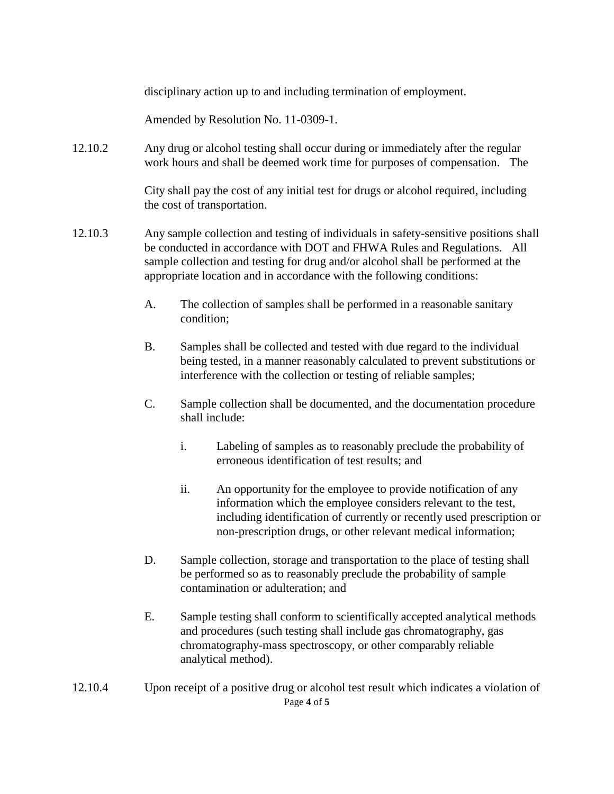disciplinary action up to and including termination of employment.

Amended by Resolution No. 11-0309-1.

12.10.2 Any drug or alcohol testing shall occur during or immediately after the regular work hours and shall be deemed work time for purposes of compensation. The

> City shall pay the cost of any initial test for drugs or alcohol required, including the cost of transportation.

- 12.10.3 Any sample collection and testing of individuals in safety-sensitive positions shall be conducted in accordance with DOT and FHWA Rules and Regulations. All sample collection and testing for drug and/or alcohol shall be performed at the appropriate location and in accordance with the following conditions:
	- A. The collection of samples shall be performed in a reasonable sanitary condition;
	- B. Samples shall be collected and tested with due regard to the individual being tested, in a manner reasonably calculated to prevent substitutions or interference with the collection or testing of reliable samples;
	- C. Sample collection shall be documented, and the documentation procedure shall include:
		- i. Labeling of samples as to reasonably preclude the probability of erroneous identification of test results; and
		- ii. An opportunity for the employee to provide notification of any information which the employee considers relevant to the test, including identification of currently or recently used prescription or non-prescription drugs, or other relevant medical information;
	- D. Sample collection, storage and transportation to the place of testing shall be performed so as to reasonably preclude the probability of sample contamination or adulteration; and
	- E. Sample testing shall conform to scientifically accepted analytical methods and procedures (such testing shall include gas chromatography, gas chromatography-mass spectroscopy, or other comparably reliable analytical method).
- Page **4** of **5** 12.10.4 Upon receipt of a positive drug or alcohol test result which indicates a violation of